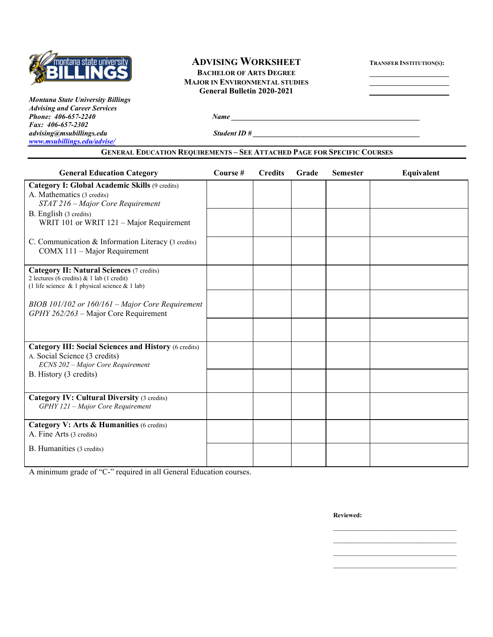

# **ADVISING WORKSHEET TRANSFER INSTITUTION(S):**

**BACHELOR OF ARTS DEGREE MAJOR IN ENVIRONMENTAL STUDIES General Bulletin 2020-2021**

*Montana State University Billings Advising and Career Services Phone:* 406-657-2240 *Name Fax: 406-657-2302 advising@msubillings.edu Student ID # \_\_\_\_\_\_\_\_\_\_\_\_\_\_\_\_\_\_\_\_\_\_\_\_\_\_\_\_\_\_\_\_\_\_\_\_\_\_\_\_\_\_\_\_\_\_ [www.msubillings.edu/advise/](http://www.msubillings.edu/advise/)*

#### **GENERAL EDUCATION REQUIREMENTS – SEE ATTACHED PAGE FOR SPECIFIC COURSES**

| <b>General Education Category</b>                                                                                                              | Course # | <b>Credits</b> | Grade | <b>Semester</b> | Equivalent |
|------------------------------------------------------------------------------------------------------------------------------------------------|----------|----------------|-------|-----------------|------------|
| <b>Category I: Global Academic Skills (9 credits)</b><br>A. Mathematics (3 credits)<br>STAT 216 – Major Core Requirement                       |          |                |       |                 |            |
| B. English (3 credits)<br>WRIT 101 or WRIT 121 - Major Requirement                                                                             |          |                |       |                 |            |
| C. Communication & Information Literacy (3 credits)<br>COMX 111 - Major Requirement                                                            |          |                |       |                 |            |
| <b>Category II: Natural Sciences (7 credits)</b><br>2 lectures (6 credits) & 1 lab (1 credit)<br>(1 life science & 1 physical science & 1 lab) |          |                |       |                 |            |
| BIOB 101/102 or $160/161$ – Major Core Requirement<br>GPHY 262/263 - Major Core Requirement                                                    |          |                |       |                 |            |
|                                                                                                                                                |          |                |       |                 |            |
| <b>Category III: Social Sciences and History (6 credits)</b><br>A. Social Science (3 credits)<br>ECNS 202 - Major Core Requirement             |          |                |       |                 |            |
| B. History (3 credits)                                                                                                                         |          |                |       |                 |            |
| <b>Category IV: Cultural Diversity (3 credits)</b><br>GPHY 121 - Major Core Requirement                                                        |          |                |       |                 |            |
| Category V: Arts & Humanities (6 credits)<br>A. Fine Arts (3 credits)                                                                          |          |                |       |                 |            |
| B. Humanities (3 credits)                                                                                                                      |          |                |       |                 |            |

A minimum grade of "C-" required in all General Education courses.

**Reviewed:**

\_\_\_\_\_\_\_\_\_\_\_\_\_\_\_\_\_\_\_\_\_\_\_\_\_\_\_\_\_\_\_\_\_\_ \_\_\_\_\_\_\_\_\_\_\_\_\_\_\_\_\_\_\_\_\_\_\_\_\_\_\_\_\_\_\_\_\_\_ \_\_\_\_\_\_\_\_\_\_\_\_\_\_\_\_\_\_\_\_\_\_\_\_\_\_\_\_\_\_\_\_\_\_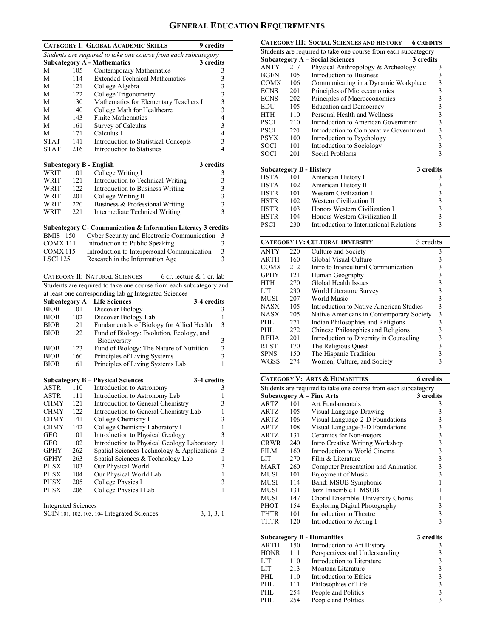# **GENERAL EDUCATION REQUIREMENTS**

|                            |     | <b>CATEGORY I: GLOBAL ACADEMIC SKILLS</b><br><b>9</b> credits      |                         |
|----------------------------|-----|--------------------------------------------------------------------|-------------------------|
|                            |     | Students are required to take one course from each subcategory     |                         |
|                            |     | <b>Subcategory A - Mathematics</b><br>3 credits                    |                         |
| М                          | 105 | Contemporary Mathematics                                           | 3                       |
| М                          | 114 | <b>Extended Technical Mathematics</b>                              | 3                       |
| М                          | 121 | College Algebra                                                    | 3                       |
| М                          | 122 | College Trigonometry                                               | 3                       |
| М                          | 130 | Mathematics for Elementary Teachers I                              | 3                       |
| М                          | 140 | College Math for Healthcare                                        | 3                       |
| М                          | 143 | <b>Finite Mathematics</b>                                          | $\overline{4}$          |
| М                          | 161 | Survey of Calculus                                                 | 3                       |
| M                          | 171 | Calculus I                                                         | $\overline{4}$          |
| <b>STAT</b>                | 141 | Introduction to Statistical Concepts                               | 3                       |
| <b>STAT</b>                | 216 | Introduction to Statistics                                         | 4                       |
|                            |     |                                                                    |                         |
|                            |     | 3 credits<br><b>Subcategory B - English</b>                        |                         |
| WRIT                       | 101 | College Writing I                                                  | 3                       |
| WRIT                       | 121 | Introduction to Technical Writing                                  | 3                       |
| WRIT                       | 122 | Introduction to Business Writing                                   | 3                       |
| WRIT                       | 201 | College Writing II                                                 | 3                       |
| WRIT                       | 220 | Business & Professional Writing                                    | $\overline{\mathbf{3}}$ |
| WRIT                       | 221 | <b>Intermediate Technical Writing</b>                              | $\mathbf{3}$            |
|                            |     |                                                                    |                         |
|                            |     | Subcategory C- Communication & Information Literacy 3 credits      |                         |
| <b>BMIS</b> 150            |     | Cyber Security and Electronic Communication                        | 3                       |
| COMX 111                   |     | Introduction to Public Speaking                                    | 3                       |
| COMX115                    |     | Introduction to Interpersonal Communication                        | $\mathfrak{Z}$          |
| LSCI 125                   |     | Research in the Information Age                                    | 3                       |
|                            |     |                                                                    |                         |
|                            |     | CATEGORY II: NATURAL SCIENCES<br>6 cr. lecture & 1 cr. lab         |                         |
|                            |     |                                                                    |                         |
|                            |     | Students are required to take one course from each subcategory and |                         |
|                            |     | at least one corresponding lab or Integrated Sciences              |                         |
|                            |     | <b>Subcategory A - Life Sciences</b><br>3-4 credits                |                         |
| <b>BIOB</b>                | 101 | Discover Biology                                                   | 3                       |
| <b>BIOB</b>                | 102 | Discover Biology Lab                                               | 1                       |
| <b>BIOB</b>                | 121 | Fundamentals of Biology for Allied Health                          | 3                       |
| <b>BIOB</b>                | 122 | Fund of Biology: Evolution, Ecology, and                           |                         |
|                            |     | Biodiversity                                                       | 3                       |
| <b>BIOB</b>                | 123 | Fund of Biology: The Nature of Nutrition                           | 3                       |
| <b>BIOB</b>                | 160 | Principles of Living Systems                                       | 3                       |
| <b>BIOB</b>                | 161 | Principles of Living Systems Lab                                   | 1                       |
|                            |     |                                                                    |                         |
|                            |     | <b>Subcategory B - Physical Sciences</b><br>3-4 credits            |                         |
| ASTR                       | 110 | Introduction to Astronomy                                          | 3                       |
| ASTR                       | 111 | Introduction to Astronomy Lab                                      | 1                       |
| CHMY                       | 121 | Introduction to General Chemistry                                  | 3                       |
| CHMY                       | 122 | Introduction to General Chemistry Lab                              | 1                       |
| CHMY                       | 141 | College Chemistry I                                                | 3                       |
| <b>CHMY</b>                | 142 | College Chemistry Laboratory I                                     | 1                       |
| GEO                        | 101 | Introduction to Physical Geology                                   | 3                       |
| <b>GEO</b>                 | 102 | Introduction to Physical Geology Laboratory                        | 1                       |
| GPHY                       | 262 | Spatial Sciences Technology & Applications                         | 3                       |
| GPHY                       | 263 | Spatial Sciences & Technology Lab                                  | 1                       |
| PHSX                       | 103 | Our Physical World                                                 | 3                       |
| <b>PHSX</b>                | 104 | Our Physical World Lab                                             | $\mathbf{1}$            |
| PHSX                       | 205 | College Physics I                                                  | 3                       |
| PHSX                       | 206 | College Physics I Lab                                              | 1                       |
|                            |     |                                                                    |                         |
| <b>Integrated Sciences</b> |     | SCIN 101, 102, 103, 104 Integrated Sciences<br>3, 1, 3, 1          |                         |

|                                                     |                                                                | <b>CATEGORY III: SOCIAL SCIENCES AND HISTORY</b> | <b>6 CREDITS</b>        |  |  |  |  |
|-----------------------------------------------------|----------------------------------------------------------------|--------------------------------------------------|-------------------------|--|--|--|--|
|                                                     | Students are required to take one course from each subcategory |                                                  |                         |  |  |  |  |
| <b>Subcategory A – Social Sciences</b><br>3 credits |                                                                |                                                  |                         |  |  |  |  |
| ANTY                                                | 217                                                            | Physical Anthropology & Archeology               | 3                       |  |  |  |  |
| BGEN                                                | 105                                                            | Introduction to Business                         | 3                       |  |  |  |  |
| COMX                                                | 106                                                            | Communicating in a Dynamic Workplace             | $\overline{\mathbf{3}}$ |  |  |  |  |
| ECNS                                                | 201                                                            | Principles of Microeconomics                     | 3                       |  |  |  |  |
| ECNS                                                | 202                                                            | Principles of Macroeconomics                     | $\overline{\mathbf{3}}$ |  |  |  |  |
| EDU                                                 | 105                                                            | <b>Education and Democracy</b>                   | $\overline{\mathbf{3}}$ |  |  |  |  |
| HTH                                                 | 110                                                            | Personal Health and Wellness                     | $\overline{\mathbf{3}}$ |  |  |  |  |
| PSCI                                                | 210                                                            | Introduction to American Government              | $\overline{\mathbf{3}}$ |  |  |  |  |
| PSCI                                                | 220                                                            | Introduction to Comparative Government           | $\overline{\mathbf{3}}$ |  |  |  |  |
| PSYX                                                | 100                                                            | Introduction to Psychology                       | 3                       |  |  |  |  |
| SOCI                                                | 101                                                            | Introduction to Sociology                        | $\overline{\mathbf{3}}$ |  |  |  |  |
| SOCI                                                | 201                                                            | Social Problems                                  | 3                       |  |  |  |  |
|                                                     |                                                                | <b>Subcategory B - History</b>                   | 3 credits               |  |  |  |  |
| HSTA                                                | 101                                                            | American History I                               | 3                       |  |  |  |  |
| <b>HSTA</b>                                         | 102                                                            | American History II                              | 3                       |  |  |  |  |
| <b>HSTR</b>                                         | 101                                                            | Western Civilization I                           | 3                       |  |  |  |  |
| <b>HSTR</b>                                         | 102                                                            | Western Civilization II                          | 3                       |  |  |  |  |
| <b>HSTR</b>                                         | 103                                                            | Honors Western Civilization I                    | 3                       |  |  |  |  |
| <b>HSTR</b>                                         | 104                                                            | Honors Western Civilization II                   | 3                       |  |  |  |  |
| <b>PSCI</b>                                         | 230                                                            | Introduction to International Relations          | 3                       |  |  |  |  |

| <b>CATEGORY IV: CULTURAL DIVERSITY</b><br>3 credits |     |                                          |   |  |  |  |
|-----------------------------------------------------|-----|------------------------------------------|---|--|--|--|
| <b>ANTY</b>                                         | 220 | Culture and Society                      | 3 |  |  |  |
| <b>ARTH</b>                                         | 160 | Global Visual Culture                    | 3 |  |  |  |
| COMX                                                | 212 | Intro to Intercultural Communication     | 3 |  |  |  |
| GPHY                                                | 121 | Human Geography                          | 3 |  |  |  |
| HTH                                                 | 270 | Global Health Issues                     | 3 |  |  |  |
| LIT                                                 | 230 | World Literature Survey                  | 3 |  |  |  |
| MUSI                                                | 207 | World Music                              | 3 |  |  |  |
| NASX                                                | 105 | Introduction to Native American Studies  | 3 |  |  |  |
| NASX                                                | 205 | Native Americans in Contemporary Society | 3 |  |  |  |
| PHL.                                                | 271 | Indian Philosophies and Religions        | 3 |  |  |  |
| PHL.                                                | 272 | Chinese Philosophies and Religions       | 3 |  |  |  |
| <b>REHA</b>                                         | 201 | Introduction to Diversity in Counseling  | 3 |  |  |  |
| RLST                                                | 170 | The Religious Quest                      | 3 |  |  |  |
| <b>SPNS</b>                                         | 150 | The Hispanic Tradition                   |   |  |  |  |
| WGSS                                                | 274 | Women, Culture, and Society              |   |  |  |  |
|                                                     |     |                                          |   |  |  |  |

| <b>6</b> credits<br><b>CATEGORY V: ARTS &amp; HUMANITIES</b> |                                                                |                                      |                                            |  |  |  |  |
|--------------------------------------------------------------|----------------------------------------------------------------|--------------------------------------|--------------------------------------------|--|--|--|--|
|                                                              | Students are required to take one course from each subcategory |                                      |                                            |  |  |  |  |
|                                                              | <b>Subcategory A - Fine Arts</b>                               |                                      |                                            |  |  |  |  |
| <b>ARTZ</b>                                                  | 101                                                            | Art Fundamentals                     | 3                                          |  |  |  |  |
| ARTZ                                                         | 105                                                            | Visual Language-Drawing              | 3                                          |  |  |  |  |
| <b>ARTZ</b>                                                  | 106                                                            | Visual Language-2-D Foundations      | $\overline{\mathbf{3}}$                    |  |  |  |  |
| ARTZ                                                         | 108                                                            | Visual Language-3-D Foundations      | 3                                          |  |  |  |  |
| ARTZ                                                         | 131                                                            | Ceramics for Non-majors              | $\frac{3}{3}$                              |  |  |  |  |
| CRWR                                                         | 240                                                            | Intro Creative Writing Workshop      |                                            |  |  |  |  |
| <b>FILM</b>                                                  | 160                                                            | Introduction to World Cinema         |                                            |  |  |  |  |
| LIT                                                          | 270                                                            | Film $\&$ Literature                 | $\begin{array}{c} 3 \\ 3 \\ 3 \end{array}$ |  |  |  |  |
| <b>MART</b>                                                  | 260                                                            | Computer Presentation and Animation  |                                            |  |  |  |  |
| <b>MUSI</b>                                                  | 101                                                            | <b>Enjoyment of Music</b>            | $\overline{3}$                             |  |  |  |  |
| MUSI                                                         | 114                                                            | Band: MSUB Symphonic                 | 1                                          |  |  |  |  |
| MUSI                                                         | 131                                                            | Jazz Ensemble I: MSUB                | 1                                          |  |  |  |  |
| MUSI                                                         | 147                                                            | Choral Ensemble: University Chorus   | 1                                          |  |  |  |  |
| <b>PHOT</b>                                                  | 154                                                            | <b>Exploring Digital Photography</b> | 3                                          |  |  |  |  |
| THTR                                                         | 101                                                            | Introduction to Theatre              | $\frac{3}{3}$                              |  |  |  |  |
| THTR                                                         | 120                                                            | Introduction to Acting I             |                                            |  |  |  |  |
|                                                              |                                                                | <b>Subcategory B - Humanities</b>    | 3 credits                                  |  |  |  |  |
| <b>ARTH</b>                                                  | 150                                                            | Introduction to Art History          | 3                                          |  |  |  |  |
| HONR                                                         | 111                                                            | Perspectives and Understanding       | $\overline{\mathbf{3}}$                    |  |  |  |  |
| <b>LIT</b>                                                   | 110                                                            | Introduction to Literature           |                                            |  |  |  |  |
| <b>LIT</b>                                                   | 213                                                            | Montana Literature                   | $\frac{3}{3}$                              |  |  |  |  |
| PHL                                                          | 110                                                            | Introduction to Ethics               |                                            |  |  |  |  |
| PHL                                                          | 111                                                            | Philosophies of Life                 | $\begin{array}{c} 3 \\ 3 \\ 3 \end{array}$ |  |  |  |  |
| PHL.                                                         | 254                                                            | People and Politics                  |                                            |  |  |  |  |
| PHL                                                          | 254                                                            | People and Politics                  |                                            |  |  |  |  |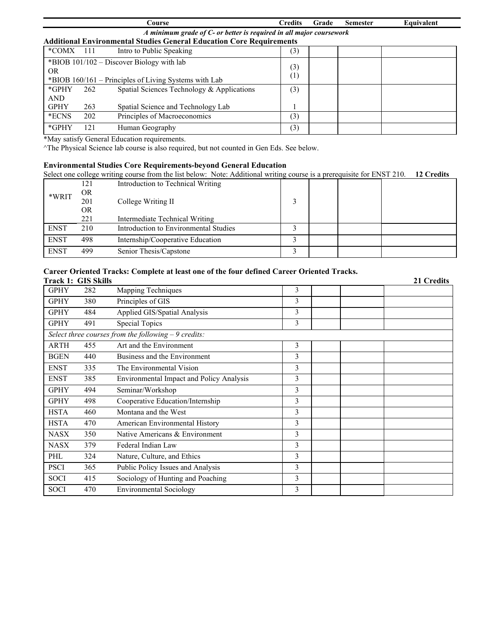|                        |                                                                     | Course                                                                                             | <b>Credits</b> | Grade | <b>Semester</b> | Equivalent |  |  |
|------------------------|---------------------------------------------------------------------|----------------------------------------------------------------------------------------------------|----------------|-------|-----------------|------------|--|--|
|                        | A minimum grade of C- or better is required in all major coursework |                                                                                                    |                |       |                 |            |  |  |
|                        |                                                                     | <b>Additional Environmental Studies General Education Core Requirements</b>                        |                |       |                 |            |  |  |
| $*$ COMX 111           |                                                                     | Intro to Public Speaking                                                                           | (3)            |       |                 |            |  |  |
| OR.                    |                                                                     | *BIOB 101/102 – Discover Biology with lab<br>*BIOB 160/161 – Principles of Living Systems with Lab | (3)<br>(1)     |       |                 |            |  |  |
| $*$ GPHY<br><b>AND</b> | 262                                                                 | Spatial Sciences Technology & Applications                                                         | (3)            |       |                 |            |  |  |
| <b>GPHY</b>            | 263                                                                 | Spatial Science and Technology Lab                                                                 |                |       |                 |            |  |  |
| *ECNS                  | 202                                                                 | Principles of Macroeconomics                                                                       | (3)            |       |                 |            |  |  |
| $*$ GPHY               | 121                                                                 | Human Geography                                                                                    | (3)            |       |                 |            |  |  |

\*May satisfy General Education requirements.

^The Physical Science lab course is also required, but not counted in Gen Eds. See below.

#### **Environmental Studies Core Requirements-beyond General Education**

Select one college writing course from the list below: Note: Additional writing course is a prerequisite for ENST 210. **12 Credits**

|             | 121 | Introduction to Technical Writing     |  |  |
|-------------|-----|---------------------------------------|--|--|
| *WRIT       | OR  |                                       |  |  |
|             | 201 | College Writing II                    |  |  |
|             | OR. |                                       |  |  |
|             | 221 | Intermediate Technical Writing        |  |  |
| <b>ENST</b> | 210 | Introduction to Environmental Studies |  |  |
| <b>ENST</b> | 498 | Internship/Cooperative Education      |  |  |
| <b>ENST</b> | 499 | Senior Thesis/Capstone                |  |  |

### **Career Oriented Tracks: Complete at least one of the four defined Career Oriented Tracks.**

| <b>Track 1: GIS Skills</b> |     |                                                       |   | 21 Credits |
|----------------------------|-----|-------------------------------------------------------|---|------------|
| <b>GPHY</b>                | 282 | Mapping Techniques                                    | 3 |            |
| <b>GPHY</b>                | 380 | Principles of GIS                                     | 3 |            |
| <b>GPHY</b>                | 484 | Applied GIS/Spatial Analysis                          | 3 |            |
| <b>GPHY</b>                | 491 | <b>Special Topics</b>                                 | 3 |            |
|                            |     | Select three courses from the following $-9$ credits: |   |            |
| ARTH                       | 455 | Art and the Environment                               | 3 |            |
| <b>BGEN</b>                | 440 | Business and the Environment                          | 3 |            |
| <b>ENST</b>                | 335 | The Environmental Vision                              | 3 |            |
| <b>ENST</b>                | 385 | Environmental Impact and Policy Analysis              | 3 |            |
| <b>GPHY</b>                | 494 | Seminar/Workshop                                      | 3 |            |
| <b>GPHY</b>                | 498 | Cooperative Education/Internship                      | 3 |            |
| <b>HSTA</b>                | 460 | Montana and the West                                  | 3 |            |
| <b>HSTA</b>                | 470 | American Environmental History                        | 3 |            |
| <b>NASX</b>                | 350 | Native Americans & Environment                        | 3 |            |
| <b>NASX</b>                | 379 | Federal Indian Law                                    | 3 |            |
| PHL                        | 324 | Nature, Culture, and Ethics                           | 3 |            |
| <b>PSCI</b>                | 365 | Public Policy Issues and Analysis                     | 3 |            |
| <b>SOCI</b>                | 415 | Sociology of Hunting and Poaching                     | 3 |            |
| SOCI                       | 470 | <b>Environmental Sociology</b>                        | 3 |            |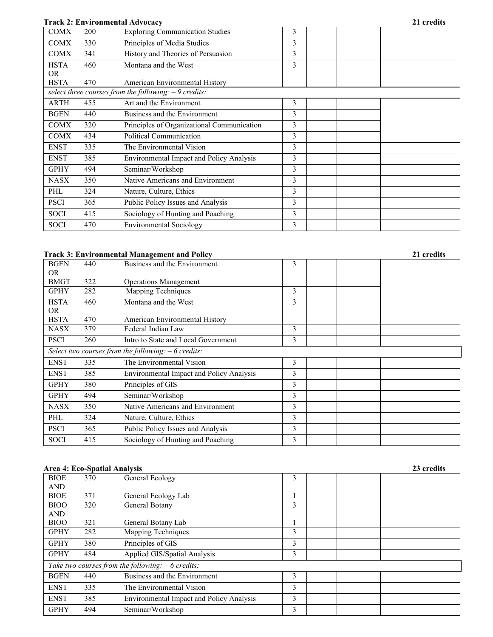## **Track 2: Environmental Advocacy 21 credits**

|             |     | LTACK 2. EIIVII OIIIIIEIItAI AUVOCACV                  |   |  | 41 vicuns |
|-------------|-----|--------------------------------------------------------|---|--|-----------|
| <b>COMX</b> | 200 | <b>Exploring Communication Studies</b>                 | 3 |  |           |
| <b>COMX</b> | 330 | Principles of Media Studies                            | 3 |  |           |
| <b>COMX</b> | 341 | History and Theories of Persuasion                     | 3 |  |           |
| <b>HSTA</b> | 460 | Montana and the West                                   | 3 |  |           |
| <b>OR</b>   |     |                                                        |   |  |           |
| <b>HSTA</b> | 470 | American Environmental History                         |   |  |           |
|             |     | select three courses from the following: $-9$ credits: |   |  |           |
| ARTH        | 455 | Art and the Environment                                | 3 |  |           |
| <b>BGEN</b> | 440 | Business and the Environment                           | 3 |  |           |
| <b>COMX</b> | 320 | Principles of Organizational Communication             | 3 |  |           |
| <b>COMX</b> | 434 | Political Communication                                | 3 |  |           |
| <b>ENST</b> | 335 | The Environmental Vision                               | 3 |  |           |
| <b>ENST</b> | 385 | Environmental Impact and Policy Analysis               | 3 |  |           |
| <b>GPHY</b> | 494 | Seminar/Workshop                                       | 3 |  |           |
| <b>NASX</b> | 350 | Native Americans and Environment                       | 3 |  |           |
| PHL         | 324 | Nature, Culture, Ethics                                | 3 |  |           |
| <b>PSCI</b> | 365 | Public Policy Issues and Analysis                      | 3 |  |           |
| <b>SOCI</b> | 415 | Sociology of Hunting and Poaching                      | 3 |  |           |
| <b>SOCI</b> | 470 | <b>Environmental Sociology</b>                         | 3 |  |           |
|             |     |                                                        |   |  |           |

## **Track 3: Environmental Management and Policy 21 credits**

|             |     | тгаск э: епунтопшенцаг манаgешент анd Ронсу          |   | <i>L</i> i creans |
|-------------|-----|------------------------------------------------------|---|-------------------|
| <b>BGEN</b> | 440 | Business and the Environment                         | 3 |                   |
| OR.         |     |                                                      |   |                   |
| <b>BMGT</b> | 322 | <b>Operations Management</b>                         |   |                   |
| <b>GPHY</b> | 282 | Mapping Techniques                                   | 3 |                   |
| <b>HSTA</b> | 460 | Montana and the West                                 | 3 |                   |
| OR.         |     |                                                      |   |                   |
| <b>HSTA</b> | 470 | American Environmental History                       |   |                   |
| <b>NASX</b> | 379 | Federal Indian Law                                   | 3 |                   |
| <b>PSCI</b> | 260 | Intro to State and Local Government                  | 3 |                   |
|             |     | Select two courses from the following: $-6$ credits: |   |                   |
| <b>ENST</b> | 335 | The Environmental Vision                             | 3 |                   |
| <b>ENST</b> | 385 | <b>Environmental Impact and Policy Analysis</b>      | 3 |                   |
| <b>GPHY</b> | 380 | Principles of GIS                                    | 3 |                   |
| <b>GPHY</b> | 494 | Seminar/Workshop                                     | 3 |                   |
| <b>NASX</b> | 350 | Native Americans and Environment                     | 3 |                   |
| PHL         | 324 | Nature, Culture, Ethics                              | 3 |                   |
| <b>PSCI</b> | 365 | Public Policy Issues and Analysis                    | 3 |                   |
| <b>SOCI</b> | 415 | Sociology of Hunting and Poaching                    | 3 |                   |

## **Area 4: Eco-Spatial Analysis 23 credits**

|             |     | ли са ¬. Есо-эрапандиануэк                         |   |  | 20 CL CULLIO |
|-------------|-----|----------------------------------------------------|---|--|--------------|
| <b>BIOE</b> | 370 | General Ecology                                    | 3 |  |              |
| <b>AND</b>  |     |                                                    |   |  |              |
| <b>BIOE</b> | 371 | General Ecology Lab                                |   |  |              |
| <b>BIOO</b> | 320 | General Botany                                     | 3 |  |              |
| <b>AND</b>  |     |                                                    |   |  |              |
| <b>BIOO</b> | 321 | General Botany Lab                                 |   |  |              |
| <b>GPHY</b> | 282 | Mapping Techniques                                 | 3 |  |              |
| <b>GPHY</b> | 380 | Principles of GIS                                  | 3 |  |              |
| <b>GPHY</b> | 484 | Applied GIS/Spatial Analysis                       | 3 |  |              |
|             |     | Take two courses from the following: $-6$ credits: |   |  |              |
| <b>BGEN</b> | 440 | Business and the Environment                       | 3 |  |              |
| <b>ENST</b> | 335 | The Environmental Vision                           | 3 |  |              |
| <b>ENST</b> | 385 | <b>Environmental Impact and Policy Analysis</b>    | 3 |  |              |
| <b>GPHY</b> | 494 | Seminar/Workshop                                   | 3 |  |              |
|             |     |                                                    |   |  |              |